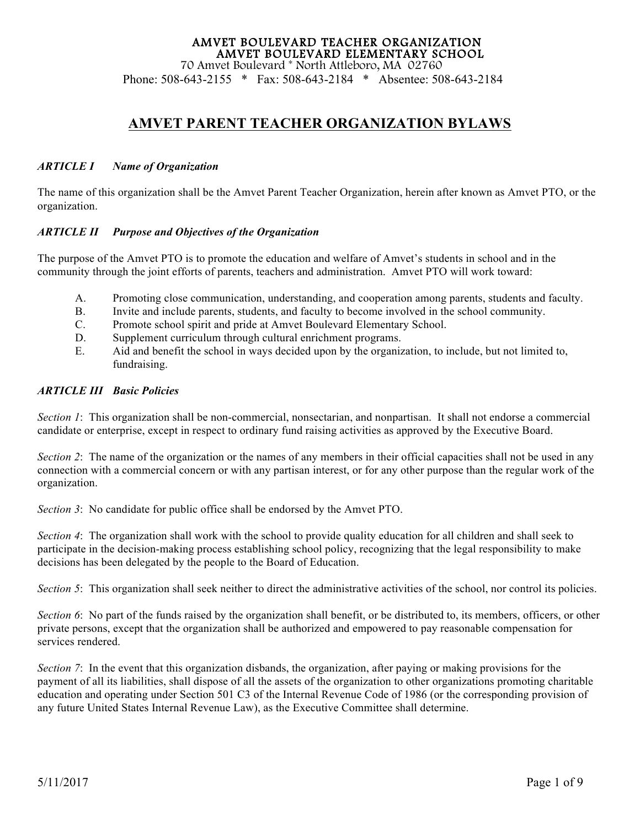Phone: 508-643-2155 \* Fax: 508-643-2184 \* Absentee: 508-643-2184

### **AMVET PARENT TEACHER ORGANIZATION BYLAWS**

#### *ARTICLE I Name of Organization*

The name of this organization shall be the Amvet Parent Teacher Organization, herein after known as Amvet PTO, or the organization.

#### *ARTICLE II Purpose and Objectives of the Organization*

The purpose of the Amvet PTO is to promote the education and welfare of Amvet's students in school and in the community through the joint efforts of parents, teachers and administration. Amvet PTO will work toward:

- A. Promoting close communication, understanding, and cooperation among parents, students and faculty.
- B. Invite and include parents, students, and faculty to become involved in the school community.
- C. Promote school spirit and pride at Amvet Boulevard Elementary School.
- D. Supplement curriculum through cultural enrichment programs.
- E. Aid and benefit the school in ways decided upon by the organization, to include, but not limited to, fundraising.

#### *ARTICLE III Basic Policies*

*Section 1*: This organization shall be non-commercial, nonsectarian, and nonpartisan. It shall not endorse a commercial candidate or enterprise, except in respect to ordinary fund raising activities as approved by the Executive Board.

*Section 2*: The name of the organization or the names of any members in their official capacities shall not be used in any connection with a commercial concern or with any partisan interest, or for any other purpose than the regular work of the organization.

*Section 3*: No candidate for public office shall be endorsed by the Amvet PTO.

*Section 4*: The organization shall work with the school to provide quality education for all children and shall seek to participate in the decision-making process establishing school policy, recognizing that the legal responsibility to make decisions has been delegated by the people to the Board of Education.

*Section 5*: This organization shall seek neither to direct the administrative activities of the school, nor control its policies.

*Section 6*: No part of the funds raised by the organization shall benefit, or be distributed to, its members, officers, or other private persons, except that the organization shall be authorized and empowered to pay reasonable compensation for services rendered.

*Section 7*: In the event that this organization disbands, the organization, after paying or making provisions for the payment of all its liabilities, shall dispose of all the assets of the organization to other organizations promoting charitable education and operating under Section 501 C3 of the Internal Revenue Code of 1986 (or the corresponding provision of any future United States Internal Revenue Law), as the Executive Committee shall determine.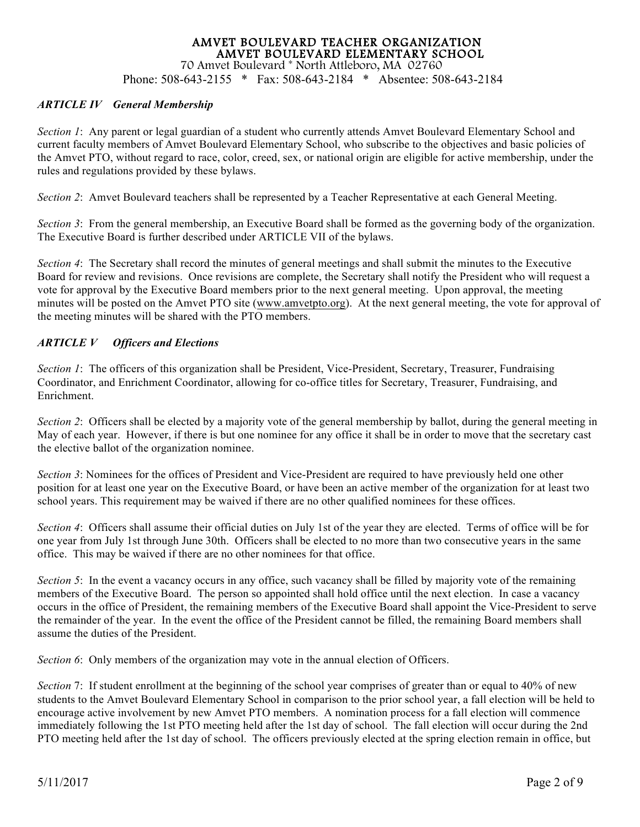Phone: 508-643-2155 \* Fax: 508-643-2184 \* Absentee: 508-643-2184

#### *ARTICLE IV General Membership*

*Section 1*: Any parent or legal guardian of a student who currently attends Amvet Boulevard Elementary School and current faculty members of Amvet Boulevard Elementary School, who subscribe to the objectives and basic policies of the Amvet PTO, without regard to race, color, creed, sex, or national origin are eligible for active membership, under the rules and regulations provided by these bylaws.

*Section 2*: Amvet Boulevard teachers shall be represented by a Teacher Representative at each General Meeting.

*Section 3*: From the general membership, an Executive Board shall be formed as the governing body of the organization. The Executive Board is further described under ARTICLE VII of the bylaws.

*Section 4*: The Secretary shall record the minutes of general meetings and shall submit the minutes to the Executive Board for review and revisions. Once revisions are complete, the Secretary shall notify the President who will request a vote for approval by the Executive Board members prior to the next general meeting. Upon approval, the meeting minutes will be posted on the Amvet PTO site (www.amvetpto.org). At the next general meeting, the vote for approval of the meeting minutes will be shared with the PTO members.

#### *ARTICLE V Officers and Elections*

*Section 1*: The officers of this organization shall be President, Vice-President, Secretary, Treasurer, Fundraising Coordinator, and Enrichment Coordinator, allowing for co-office titles for Secretary, Treasurer, Fundraising, and Enrichment.

*Section 2*: Officers shall be elected by a majority vote of the general membership by ballot, during the general meeting in May of each year. However, if there is but one nominee for any office it shall be in order to move that the secretary cast the elective ballot of the organization nominee.

*Section 3*: Nominees for the offices of President and Vice-President are required to have previously held one other position for at least one year on the Executive Board, or have been an active member of the organization for at least two school years. This requirement may be waived if there are no other qualified nominees for these offices.

*Section 4*: Officers shall assume their official duties on July 1st of the year they are elected. Terms of office will be for one year from July 1st through June 30th. Officers shall be elected to no more than two consecutive years in the same office. This may be waived if there are no other nominees for that office.

*Section 5*: In the event a vacancy occurs in any office, such vacancy shall be filled by majority vote of the remaining members of the Executive Board. The person so appointed shall hold office until the next election. In case a vacancy occurs in the office of President, the remaining members of the Executive Board shall appoint the Vice-President to serve the remainder of the year. In the event the office of the President cannot be filled, the remaining Board members shall assume the duties of the President.

*Section 6*: Only members of the organization may vote in the annual election of Officers.

*Section* 7: If student enrollment at the beginning of the school year comprises of greater than or equal to 40% of new students to the Amvet Boulevard Elementary School in comparison to the prior school year, a fall election will be held to encourage active involvement by new Amvet PTO members. A nomination process for a fall election will commence immediately following the 1st PTO meeting held after the 1st day of school. The fall election will occur during the 2nd PTO meeting held after the 1st day of school. The officers previously elected at the spring election remain in office, but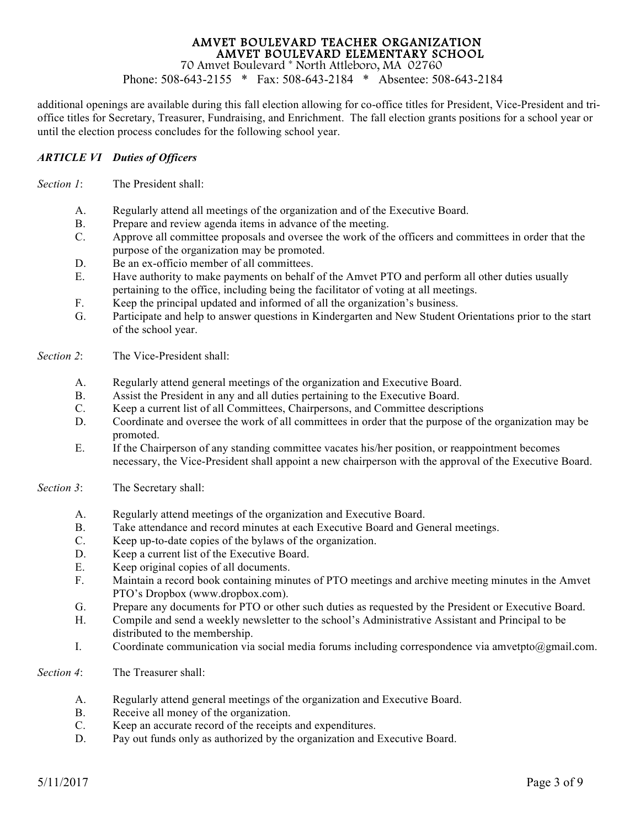Phone: 508-643-2155 \* Fax: 508-643-2184 \* Absentee: 508-643-2184

additional openings are available during this fall election allowing for co-office titles for President, Vice-President and trioffice titles for Secretary, Treasurer, Fundraising, and Enrichment. The fall election grants positions for a school year or until the election process concludes for the following school year.

#### *ARTICLE VI Duties of Officers*

*Section 1*: The President shall:

- A. Regularly attend all meetings of the organization and of the Executive Board.
- B. Prepare and review agenda items in advance of the meeting.
- C. Approve all committee proposals and oversee the work of the officers and committees in order that the purpose of the organization may be promoted.
- D. Be an ex-officio member of all committees.
- E. Have authority to make payments on behalf of the Amvet PTO and perform all other duties usually pertaining to the office, including being the facilitator of voting at all meetings.
- F. Keep the principal updated and informed of all the organization's business.
- G. Participate and help to answer questions in Kindergarten and New Student Orientations prior to the start of the school year.
- *Section 2*: The Vice-President shall:
	- A. Regularly attend general meetings of the organization and Executive Board.
	- B. Assist the President in any and all duties pertaining to the Executive Board.
	- C. Keep a current list of all Committees, Chairpersons, and Committee descriptions
	- D. Coordinate and oversee the work of all committees in order that the purpose of the organization may be promoted.
	- E. If the Chairperson of any standing committee vacates his/her position, or reappointment becomes necessary, the Vice-President shall appoint a new chairperson with the approval of the Executive Board.
- *Section 3*: The Secretary shall:
	- A. Regularly attend meetings of the organization and Executive Board.
	- B. Take attendance and record minutes at each Executive Board and General meetings.
	- C. Keep up-to-date copies of the bylaws of the organization.
	- D. Keep a current list of the Executive Board.
	- E. Keep original copies of all documents.
	- F. Maintain a record book containing minutes of PTO meetings and archive meeting minutes in the Amvet PTO's Dropbox (www.dropbox.com).
	- G. Prepare any documents for PTO or other such duties as requested by the President or Executive Board.
	- H. Compile and send a weekly newsletter to the school's Administrative Assistant and Principal to be distributed to the membership.
	- I. Coordinate communication via social media forums including correspondence via amvetpto@gmail.com.
- *Section 4*: The Treasurer shall:
	- A. Regularly attend general meetings of the organization and Executive Board.
	- B. Receive all money of the organization.
	- C. Keep an accurate record of the receipts and expenditures.
	- D. Pay out funds only as authorized by the organization and Executive Board.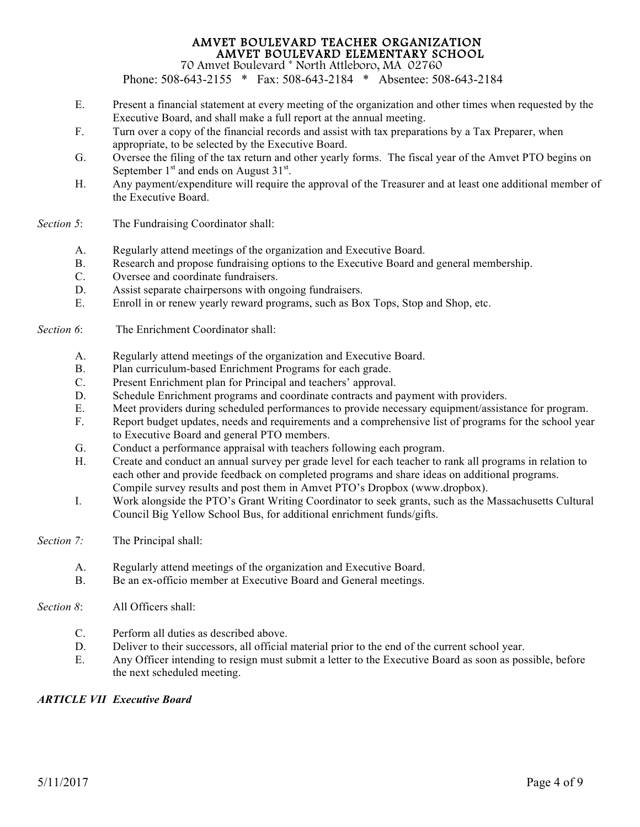Phone: 508-643-2155 \* Fax: 508-643-2184 \* Absentee: 508-643-2184

- E. Present a financial statement at every meeting of the organization and other times when requested by the Executive Board, and shall make a full report at the annual meeting.
- F. Turn over a copy of the financial records and assist with tax preparations by a Tax Preparer, when appropriate, to be selected by the Executive Board.
- G. Oversee the filing of the tax return and other yearly forms. The fiscal year of the Amvet PTO begins on September  $1<sup>st</sup>$  and ends on August  $31<sup>st</sup>$ .
- H. Any payment/expenditure will require the approval of the Treasurer and at least one additional member of the Executive Board.
- *Section 5*: The Fundraising Coordinator shall:
	- A. Regularly attend meetings of the organization and Executive Board.
	- B. Research and propose fundraising options to the Executive Board and general membership.
	- C. Oversee and coordinate fundraisers.
	- D. Assist separate chairpersons with ongoing fundraisers.
	- E. Enroll in or renew yearly reward programs, such as Box Tops, Stop and Shop, etc.

#### *Section 6*: The Enrichment Coordinator shall:

- A. Regularly attend meetings of the organization and Executive Board.
- B. Plan curriculum-based Enrichment Programs for each grade.
- C. Present Enrichment plan for Principal and teachers' approval.
- D. Schedule Enrichment programs and coordinate contracts and payment with providers.
- E. Meet providers during scheduled performances to provide necessary equipment/assistance for program.
- F. Report budget updates, needs and requirements and a comprehensive list of programs for the school year to Executive Board and general PTO members.
- G. Conduct a performance appraisal with teachers following each program.
- H. Create and conduct an annual survey per grade level for each teacher to rank all programs in relation to each other and provide feedback on completed programs and share ideas on additional programs. Compile survey results and post them in Amvet PTO's Dropbox (www.dropbox).
- I. Work alongside the PTO's Grant Writing Coordinator to seek grants, such as the Massachusetts Cultural Council Big Yellow School Bus, for additional enrichment funds/gifts.
- *Section 7:* The Principal shall:
	- A. Regularly attend meetings of the organization and Executive Board.
	- B. Be an ex-officio member at Executive Board and General meetings.
- *Section 8*: All Officers shall:
	- C. Perform all duties as described above.
	- D. Deliver to their successors, all official material prior to the end of the current school year.
	- E. Any Officer intending to resign must submit a letter to the Executive Board as soon as possible, before the next scheduled meeting.

#### *ARTICLE VII Executive Board*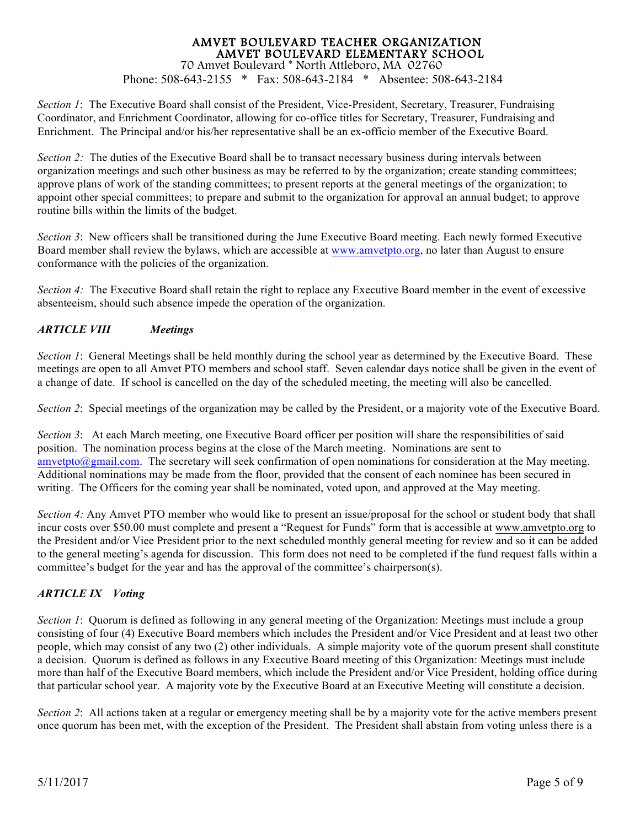Phone: 508-643-2155 \* Fax: 508-643-2184 \* Absentee: 508-643-2184

*Section 1*: The Executive Board shall consist of the President, Vice-President, Secretary, Treasurer, Fundraising Coordinator, and Enrichment Coordinator, allowing for co-office titles for Secretary, Treasurer, Fundraising and Enrichment. The Principal and/or his/her representative shall be an ex-officio member of the Executive Board.

*Section 2:* The duties of the Executive Board shall be to transact necessary business during intervals between organization meetings and such other business as may be referred to by the organization; create standing committees; approve plans of work of the standing committees; to present reports at the general meetings of the organization; to appoint other special committees; to prepare and submit to the organization for approval an annual budget; to approve routine bills within the limits of the budget.

*Section 3*: New officers shall be transitioned during the June Executive Board meeting. Each newly formed Executive Board member shall review the bylaws, which are accessible at www.amvetpto.org, no later than August to ensure conformance with the policies of the organization.

*Section 4:* The Executive Board shall retain the right to replace any Executive Board member in the event of excessive absenteeism, should such absence impede the operation of the organization.

#### *ARTICLE VIII Meetings*

*Section 1*: General Meetings shall be held monthly during the school year as determined by the Executive Board. These meetings are open to all Amvet PTO members and school staff. Seven calendar days notice shall be given in the event of a change of date. If school is cancelled on the day of the scheduled meeting, the meeting will also be cancelled.

*Section 2*: Special meetings of the organization may be called by the President, or a majority vote of the Executive Board.

*Section 3*: At each March meeting, one Executive Board officer per position will share the responsibilities of said position. The nomination process begins at the close of the March meeting. Nominations are sent to amvetpto@gmail.com. The secretary will seek confirmation of open nominations for consideration at the May meeting. Additional nominations may be made from the floor, provided that the consent of each nominee has been secured in writing. The Officers for the coming year shall be nominated, voted upon, and approved at the May meeting.

*Section 4:* Any Amvet PTO member who would like to present an issue/proposal for the school or student body that shall incur costs over \$50.00 must complete and present a "Request for Funds" form that is accessible at www.amvetpto.org to the President and/or Viee President prior to the next scheduled monthly general meeting for review and so it can be added to the general meeting's agenda for discussion. This form does not need to be completed if the fund request falls within a committee's budget for the year and has the approval of the committee's chairperson(s).

#### *ARTICLE IX Voting*

*Section 1*: Quorum is defined as following in any general meeting of the Organization: Meetings must include a group consisting of four (4) Executive Board members which includes the President and/or Vice President and at least two other people, which may consist of any two (2) other individuals. A simple majority vote of the quorum present shall constitute a decision. Quorum is defined as follows in any Executive Board meeting of this Organization: Meetings must include more than half of the Executive Board members, which include the President and/or Vice President, holding office during that particular school year. A majority vote by the Executive Board at an Executive Meeting will constitute a decision.

*Section 2*: All actions taken at a regular or emergency meeting shall be by a majority vote for the active members present once quorum has been met, with the exception of the President. The President shall abstain from voting unless there is a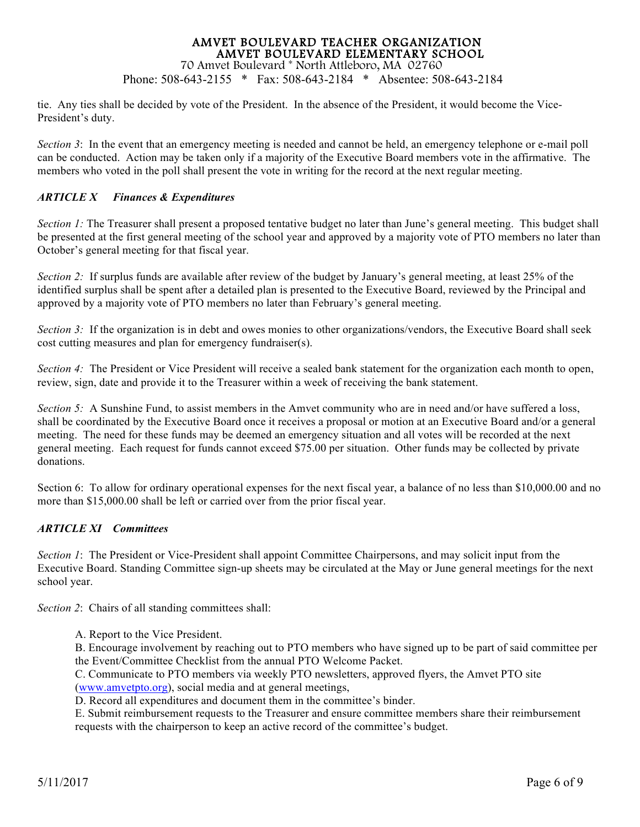Phone: 508-643-2155 \* Fax: 508-643-2184 \* Absentee: 508-643-2184

tie. Any ties shall be decided by vote of the President. In the absence of the President, it would become the Vice-President's duty.

*Section 3*: In the event that an emergency meeting is needed and cannot be held, an emergency telephone or e-mail poll can be conducted. Action may be taken only if a majority of the Executive Board members vote in the affirmative. The members who voted in the poll shall present the vote in writing for the record at the next regular meeting.

#### *ARTICLE X Finances & Expenditures*

*Section 1:* The Treasurer shall present a proposed tentative budget no later than June's general meeting. This budget shall be presented at the first general meeting of the school year and approved by a majority vote of PTO members no later than October's general meeting for that fiscal year.

*Section 2:* If surplus funds are available after review of the budget by January's general meeting, at least 25% of the identified surplus shall be spent after a detailed plan is presented to the Executive Board, reviewed by the Principal and approved by a majority vote of PTO members no later than February's general meeting.

*Section 3:* If the organization is in debt and owes monies to other organizations/vendors, the Executive Board shall seek cost cutting measures and plan for emergency fundraiser(s).

*Section 4:* The President or Vice President will receive a sealed bank statement for the organization each month to open, review, sign, date and provide it to the Treasurer within a week of receiving the bank statement.

*Section 5:* A Sunshine Fund, to assist members in the Amvet community who are in need and/or have suffered a loss, shall be coordinated by the Executive Board once it receives a proposal or motion at an Executive Board and/or a general meeting. The need for these funds may be deemed an emergency situation and all votes will be recorded at the next general meeting. Each request for funds cannot exceed \$75.00 per situation. Other funds may be collected by private donations.

Section 6: To allow for ordinary operational expenses for the next fiscal year, a balance of no less than \$10,000.00 and no more than \$15,000.00 shall be left or carried over from the prior fiscal year.

#### *ARTICLE XI Committees*

*Section 1*: The President or Vice-President shall appoint Committee Chairpersons, and may solicit input from the Executive Board. Standing Committee sign-up sheets may be circulated at the May or June general meetings for the next school year.

*Section 2*: Chairs of all standing committees shall:

A. Report to the Vice President.

B. Encourage involvement by reaching out to PTO members who have signed up to be part of said committee per the Event/Committee Checklist from the annual PTO Welcome Packet.

C. Communicate to PTO members via weekly PTO newsletters, approved flyers, the Amvet PTO site

(www.amvetpto.org), social media and at general meetings,

D. Record all expenditures and document them in the committee's binder.

E. Submit reimbursement requests to the Treasurer and ensure committee members share their reimbursement requests with the chairperson to keep an active record of the committee's budget.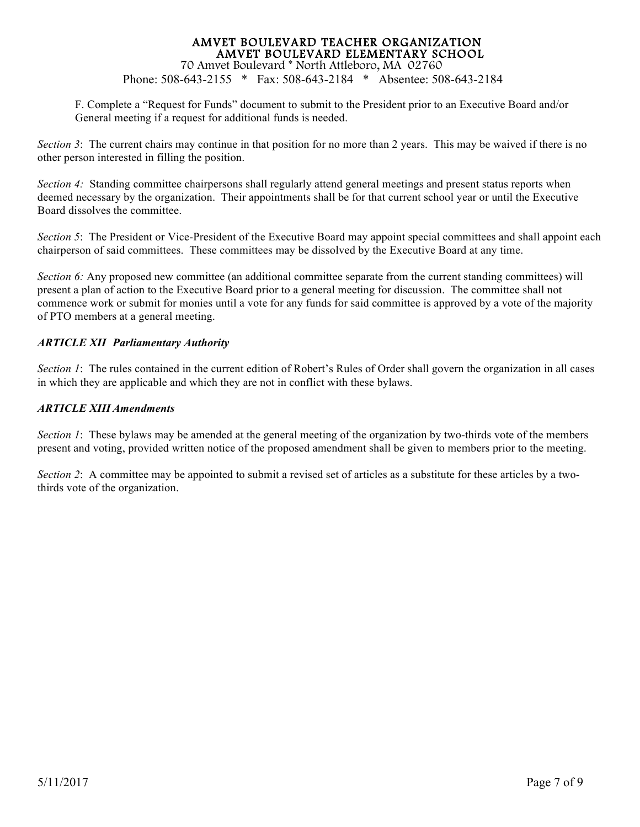Phone: 508-643-2155 \* Fax: 508-643-2184 \* Absentee: 508-643-2184

F. Complete a "Request for Funds" document to submit to the President prior to an Executive Board and/or General meeting if a request for additional funds is needed.

*Section 3*: The current chairs may continue in that position for no more than 2 years. This may be waived if there is no other person interested in filling the position.

*Section 4:* Standing committee chairpersons shall regularly attend general meetings and present status reports when deemed necessary by the organization. Their appointments shall be for that current school year or until the Executive Board dissolves the committee.

*Section 5*: The President or Vice-President of the Executive Board may appoint special committees and shall appoint each chairperson of said committees. These committees may be dissolved by the Executive Board at any time.

*Section 6:* Any proposed new committee (an additional committee separate from the current standing committees) will present a plan of action to the Executive Board prior to a general meeting for discussion. The committee shall not commence work or submit for monies until a vote for any funds for said committee is approved by a vote of the majority of PTO members at a general meeting.

#### *ARTICLE XII Parliamentary Authority*

*Section 1*: The rules contained in the current edition of Robert's Rules of Order shall govern the organization in all cases in which they are applicable and which they are not in conflict with these bylaws.

#### *ARTICLE XIII Amendments*

*Section 1*: These bylaws may be amended at the general meeting of the organization by two-thirds vote of the members present and voting, provided written notice of the proposed amendment shall be given to members prior to the meeting.

*Section 2*: A committee may be appointed to submit a revised set of articles as a substitute for these articles by a twothirds vote of the organization.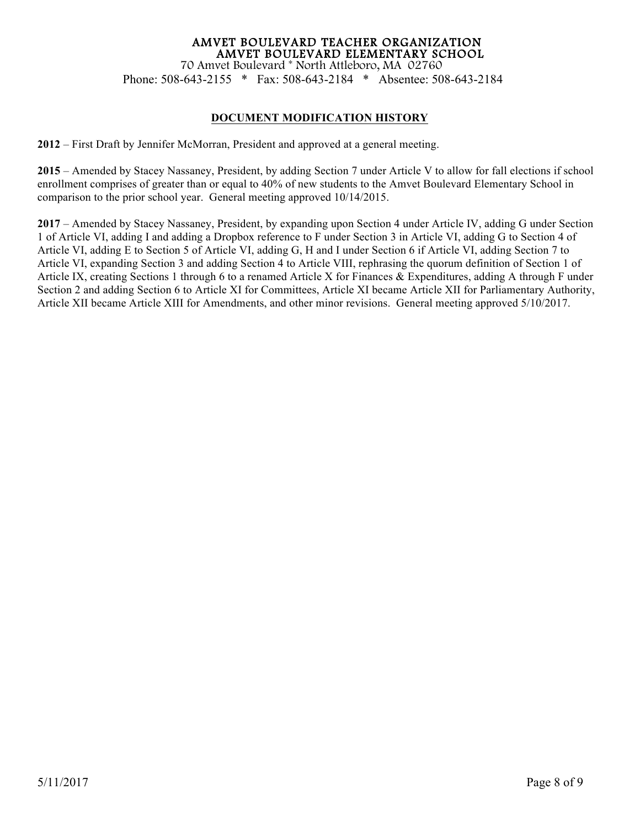### AMVET BOULEVARD TEACHER ORGANIZATION AMVET BOULEVARD ELEMENTARY SCHOOL 70 Amvet Boulevard \* North Attleboro, MA 02760 Phone: 508-643-2155 \* Fax: 508-643-2184 \* Absentee: 508-643-2184

#### **DOCUMENT MODIFICATION HISTORY**

**2012** – First Draft by Jennifer McMorran, President and approved at a general meeting.

**2015** – Amended by Stacey Nassaney, President, by adding Section 7 under Article V to allow for fall elections if school enrollment comprises of greater than or equal to 40% of new students to the Amvet Boulevard Elementary School in comparison to the prior school year. General meeting approved 10/14/2015.

**2017** – Amended by Stacey Nassaney, President, by expanding upon Section 4 under Article IV, adding G under Section 1 of Article VI, adding I and adding a Dropbox reference to F under Section 3 in Article VI, adding G to Section 4 of Article VI, adding E to Section 5 of Article VI, adding G, H and I under Section 6 if Article VI, adding Section 7 to Article VI, expanding Section 3 and adding Section 4 to Article VIII, rephrasing the quorum definition of Section 1 of Article IX, creating Sections 1 through 6 to a renamed Article X for Finances & Expenditures, adding A through F under Section 2 and adding Section 6 to Article XI for Committees, Article XI became Article XII for Parliamentary Authority, Article XII became Article XIII for Amendments, and other minor revisions. General meeting approved 5/10/2017.